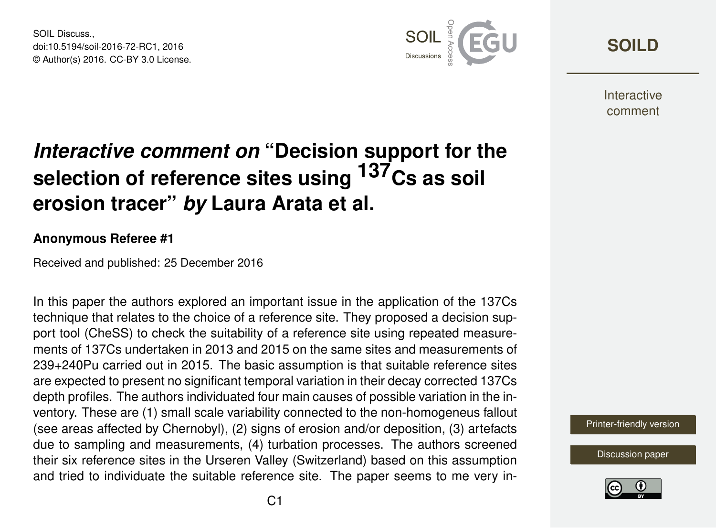SOIL Discuss. doi:10.5194/soil-2016-72-RC1, 2016 © Author(s) 2016. CC-BY 3.0 License.



**[SOILD](http://www.soil-discuss.net/)**

**Interactive** comment

# *Interactive comment on* **"Decision support for the selection of reference sites using 137Cs as soil erosion tracer"** *by* **Laura Arata et al.**

#### **Anonymous Referee #1**

Received and published: 25 December 2016

In this paper the authors explored an important issue in the application of the 137Cs technique that relates to the choice of a reference site. They proposed a decision support tool (CheSS) to check the suitability of a reference site using repeated measurements of 137Cs undertaken in 2013 and 2015 on the same sites and measurements of 239+240Pu carried out in 2015. The basic assumption is that suitable reference sites are expected to present no significant temporal variation in their decay corrected 137Cs depth profiles. The authors individuated four main causes of possible variation in the inventory. These are (1) small scale variability connected to the non-homogeneus fallout (see areas affected by Chernobyl), (2) signs of erosion and/or deposition, (3) artefacts due to sampling and measurements, (4) turbation processes. The authors screened their six reference sites in the Urseren Valley (Switzerland) based on this assumption and tried to individuate the suitable reference site. The paper seems to me very in-



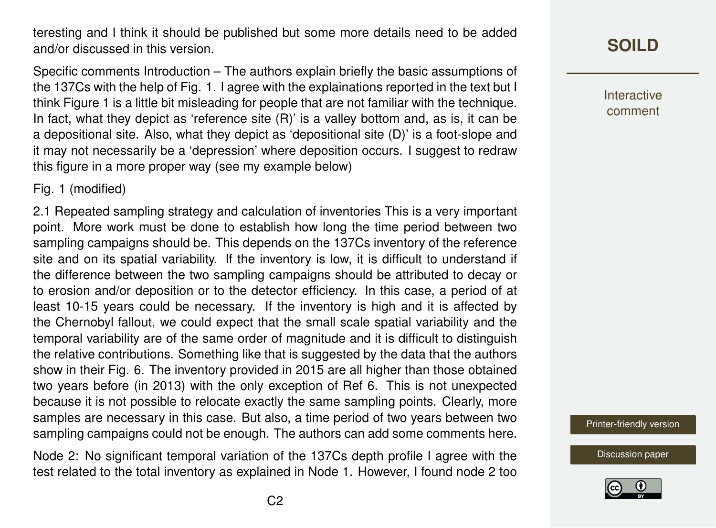teresting and I think it should be published but some more details need to be added and/or discussed in this version.

Specific comments Introduction – The authors explain briefly the basic assumptions of the 137Cs with the help of Fig. 1. I agree with the explainations reported in the text but I think Figure 1 is a little bit misleading for people that are not familiar with the technique. In fact, what they depict as 'reference site (R)' is a valley bottom and, as is, it can be a depositional site. Also, what they depict as 'depositional site (D)' is a foot-slope and it may not necessarily be a 'depression' where deposition occurs. I suggest to redraw this figure in a more proper way (see my example below)

Fig. 1 (modified)

2.1 Repeated sampling strategy and calculation of inventories This is a very important point. More work must be done to establish how long the time period between two sampling campaigns should be. This depends on the 137Cs inventory of the reference site and on its spatial variability. If the inventory is low, it is difficult to understand if the difference between the two sampling campaigns should be attributed to decay or to erosion and/or deposition or to the detector efficiency. In this case, a period of at least 10-15 years could be necessary. If the inventory is high and it is affected by the Chernobyl fallout, we could expect that the small scale spatial variability and the temporal variability are of the same order of magnitude and it is difficult to distinguish the relative contributions. Something like that is suggested by the data that the authors show in their Fig. 6. The inventory provided in 2015 are all higher than those obtained two years before (in 2013) with the only exception of Ref 6. This is not unexpected because it is not possible to relocate exactly the same sampling points. Clearly, more samples are necessary in this case. But also, a time period of two years between two sampling campaigns could not be enough. The authors can add some comments here.

Node 2: No significant temporal variation of the 137Cs depth profile I agree with the test related to the total inventory as explained in Node 1. However, I found node 2 too

# **[SOILD](http://www.soil-discuss.net/)**

Interactive comment

[Printer-friendly version](http://www.soil-discuss.net/soil-2016-72/soil-2016-72-RC1-print.pdf)

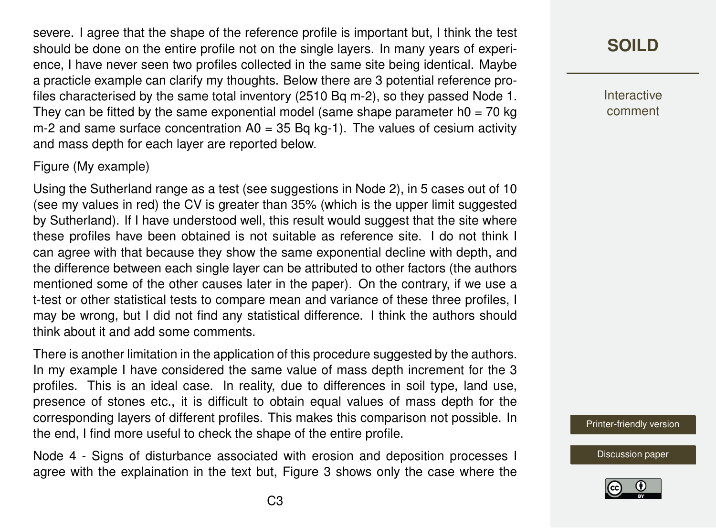severe. I agree that the shape of the reference profile is important but, I think the test should be done on the entire profile not on the single layers. In many years of experience, I have never seen two profiles collected in the same site being identical. Maybe a practicle example can clarify my thoughts. Below there are 3 potential reference profiles characterised by the same total inventory (2510 Bq m-2), so they passed Node 1. They can be fitted by the same exponential model (same shape parameter  $h0 = 70$  kg m-2 and same surface concentration  $A0 = 35$  Bq kg-1). The values of cesium activity and mass depth for each layer are reported below.

#### Figure (My example)

Using the Sutherland range as a test (see suggestions in Node 2), in 5 cases out of 10 (see my values in red) the CV is greater than 35% (which is the upper limit suggested by Sutherland). If I have understood well, this result would suggest that the site where these profiles have been obtained is not suitable as reference site. I do not think I can agree with that because they show the same exponential decline with depth, and the difference between each single layer can be attributed to other factors (the authors mentioned some of the other causes later in the paper). On the contrary, if we use a t-test or other statistical tests to compare mean and variance of these three profiles, I may be wrong, but I did not find any statistical difference. I think the authors should think about it and add some comments.

There is another limitation in the application of this procedure suggested by the authors. In my example I have considered the same value of mass depth increment for the 3 profiles. This is an ideal case. In reality, due to differences in soil type, land use, presence of stones etc., it is difficult to obtain equal values of mass depth for the corresponding layers of different profiles. This makes this comparison not possible. In the end, I find more useful to check the shape of the entire profile.

Node 4 - Signs of disturbance associated with erosion and deposition processes I agree with the explaination in the text but, Figure 3 shows only the case where the

## **[SOILD](http://www.soil-discuss.net/)**

Interactive comment

[Printer-friendly version](http://www.soil-discuss.net/soil-2016-72/soil-2016-72-RC1-print.pdf)

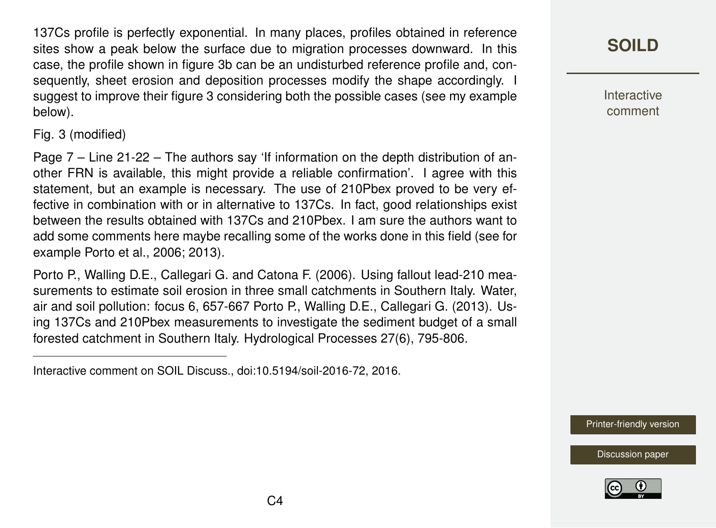137Cs profile is perfectly exponential. In many places, profiles obtained in reference sites show a peak below the surface due to migration processes downward. In this case, the profile shown in figure 3b can be an undisturbed reference profile and, consequently, sheet erosion and deposition processes modify the shape accordingly. I suggest to improve their figure 3 considering both the possible cases (see my example below).

Fig. 3 (modified)

Page 7 – Line 21-22 – The authors say 'If information on the depth distribution of another FRN is available, this might provide a reliable confirmation'. I agree with this statement, but an example is necessary. The use of 210Pbex proved to be very effective in combination with or in alternative to 137Cs. In fact, good relationships exist between the results obtained with 137Cs and 210Pbex. I am sure the authors want to add some comments here maybe recalling some of the works done in this field (see for example Porto et al., 2006; 2013).

Porto P., Walling D.E., Callegari G. and Catona F. (2006). Using fallout lead-210 measurements to estimate soil erosion in three small catchments in Southern Italy. Water, air and soil pollution: focus 6, 657-667 Porto P., Walling D.E., Callegari G. (2013). Using 137Cs and 210Pbex measurements to investigate the sediment budget of a small forested catchment in Southern Italy. Hydrological Processes 27(6), 795-806.

Interactive comment on SOIL Discuss., doi:10.5194/soil-2016-72, 2016.

**[SOILD](http://www.soil-discuss.net/)**

**Interactive** comment

[Printer-friendly version](http://www.soil-discuss.net/soil-2016-72/soil-2016-72-RC1-print.pdf)

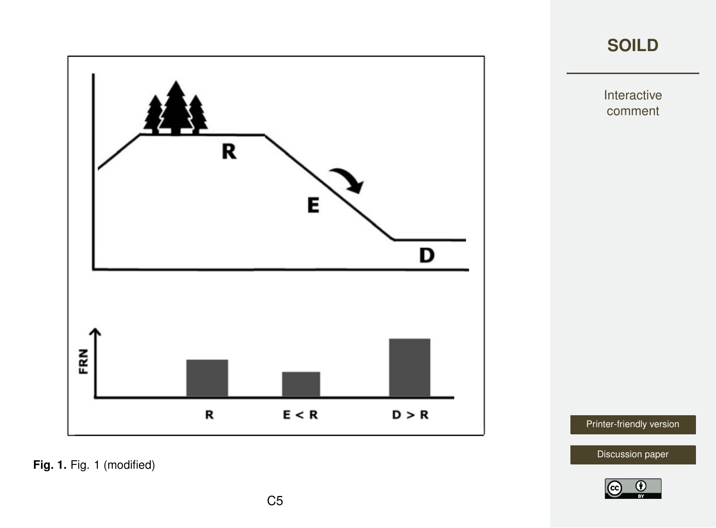



Interactive comment

[Printer-friendly version](http://www.soil-discuss.net/soil-2016-72/soil-2016-72-RC1-print.pdf)

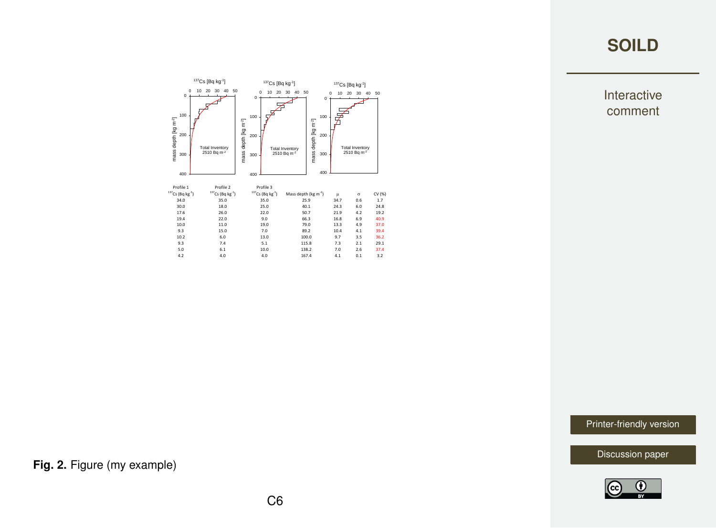### **[SOILD](http://www.soil-discuss.net/)**





[Printer-friendly version](http://www.soil-discuss.net/soil-2016-72/soil-2016-72-RC1-print.pdf)

[Discussion paper](http://www.soil-discuss.net/soil-2016-72)



**Fig. 2.** Figure (my example)